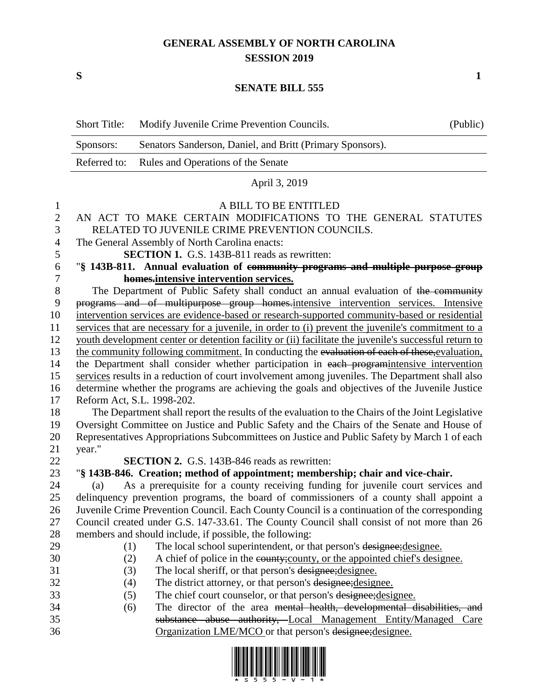## **GENERAL ASSEMBLY OF NORTH CAROLINA SESSION 2019**

**S 1**

## **SENATE BILL 555**

|                | <b>Short Title:</b>                                                                              | Modify Juvenile Crime Prevention Councils.                                                            | (Public) |  |  |  |  |
|----------------|--------------------------------------------------------------------------------------------------|-------------------------------------------------------------------------------------------------------|----------|--|--|--|--|
|                | Sponsors:                                                                                        | Senators Sanderson, Daniel, and Britt (Primary Sponsors).                                             |          |  |  |  |  |
|                | Referred to:                                                                                     | Rules and Operations of the Senate                                                                    |          |  |  |  |  |
|                | April 3, 2019                                                                                    |                                                                                                       |          |  |  |  |  |
| 1              |                                                                                                  | A BILL TO BE ENTITLED                                                                                 |          |  |  |  |  |
| $\mathbf{2}$   |                                                                                                  | AN ACT TO MAKE CERTAIN MODIFICATIONS TO THE GENERAL STATUTES                                          |          |  |  |  |  |
| 3              |                                                                                                  | RELATED TO JUVENILE CRIME PREVENTION COUNCILS.                                                        |          |  |  |  |  |
| $\overline{4}$ |                                                                                                  | The General Assembly of North Carolina enacts:                                                        |          |  |  |  |  |
| 5              |                                                                                                  | <b>SECTION 1.</b> G.S. 143B-811 reads as rewritten:                                                   |          |  |  |  |  |
| 6              |                                                                                                  | "§ 143B-811. Annual evaluation of community programs and multiple purpose group                       |          |  |  |  |  |
| $\tau$         |                                                                                                  | homes.intensive intervention services.                                                                |          |  |  |  |  |
| $8\,$          |                                                                                                  | The Department of Public Safety shall conduct an annual evaluation of the community                   |          |  |  |  |  |
| 9              |                                                                                                  | programs and of multipurpose group homes intensive intervention services. Intensive                   |          |  |  |  |  |
| 10             |                                                                                                  | intervention services are evidence-based or research-supported community-based or residential         |          |  |  |  |  |
| 11             |                                                                                                  | services that are necessary for a juvenile, in order to (i) prevent the juvenile's commitment to a    |          |  |  |  |  |
| 12             |                                                                                                  | youth development center or detention facility or (ii) facilitate the juvenile's successful return to |          |  |  |  |  |
| 13             |                                                                                                  | the community following commitment. In conducting the evaluation of each of these, evaluation,        |          |  |  |  |  |
| 14             |                                                                                                  | the Department shall consider whether participation in each programintensive intervention             |          |  |  |  |  |
| 15             | services results in a reduction of court involvement among juveniles. The Department shall also  |                                                                                                       |          |  |  |  |  |
| 16             |                                                                                                  | determine whether the programs are achieving the goals and objectives of the Juvenile Justice         |          |  |  |  |  |
| 17             |                                                                                                  | Reform Act, S.L. 1998-202.                                                                            |          |  |  |  |  |
| 18             | The Department shall report the results of the evaluation to the Chairs of the Joint Legislative |                                                                                                       |          |  |  |  |  |
| 19             | Oversight Committee on Justice and Public Safety and the Chairs of the Senate and House of       |                                                                                                       |          |  |  |  |  |
| 20             |                                                                                                  | Representatives Appropriations Subcommittees on Justice and Public Safety by March 1 of each          |          |  |  |  |  |
| 21             | year."                                                                                           |                                                                                                       |          |  |  |  |  |
| 22             |                                                                                                  | <b>SECTION 2.</b> G.S. 143B-846 reads as rewritten:                                                   |          |  |  |  |  |
| 23             |                                                                                                  | "§ 143B-846. Creation; method of appointment; membership; chair and vice-chair.                       |          |  |  |  |  |
| 24             | (a)                                                                                              | As a prerequisite for a county receiving funding for juvenile court services and                      |          |  |  |  |  |
| 25             |                                                                                                  | delinquency prevention programs, the board of commissioners of a county shall appoint a               |          |  |  |  |  |
| 26             |                                                                                                  | Juvenile Crime Prevention Council. Each County Council is a continuation of the corresponding         |          |  |  |  |  |
| 27             |                                                                                                  | Council created under G.S. 147-33.61. The County Council shall consist of not more than 26            |          |  |  |  |  |
| 28             |                                                                                                  | members and should include, if possible, the following:                                               |          |  |  |  |  |
| 29             | (1)                                                                                              | The local school superintendent, or that person's designee; designee.                                 |          |  |  |  |  |
| 30             | (2)                                                                                              | A chief of police in the county; county, or the appointed chief's designee.                           |          |  |  |  |  |
| 31             | (3)                                                                                              | The local sheriff, or that person's designee; designee.                                               |          |  |  |  |  |
| 32             | (4)                                                                                              | The district attorney, or that person's designee; designee.                                           |          |  |  |  |  |
| 33             | (5)                                                                                              | The chief court counselor, or that person's designee; designee.                                       |          |  |  |  |  |
| 34             | (6)                                                                                              | The director of the area mental health, developmental disabilities, and                               |          |  |  |  |  |
| 35             |                                                                                                  | substance abuse authority, Local Management Entity/Managed Care                                       |          |  |  |  |  |
| 36             |                                                                                                  | Organization LME/MCO or that person's designee; designee.                                             |          |  |  |  |  |

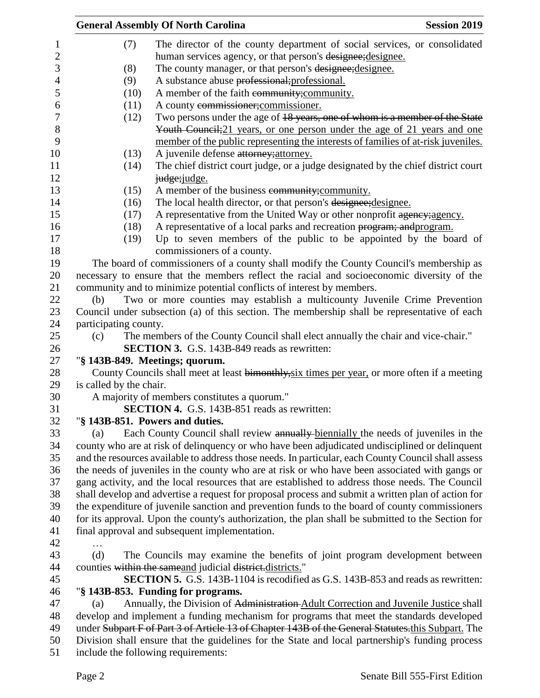|                         | <b>General Assembly Of North Carolina</b><br><b>Session 2019</b>                                    |
|-------------------------|-----------------------------------------------------------------------------------------------------|
| (7)                     | The director of the county department of social services, or consolidated                           |
|                         | human services agency, or that person's designee; designee.                                         |
| (8)                     | The county manager, or that person's designee; designee.                                            |
| (9)                     | A substance abuse professional; professional.                                                       |
| (10)                    | A member of the faith community; community.                                                         |
| (11)                    | A county commissioner; commissioner.                                                                |
| (12)                    | Two persons under the age of 18 years, one of whom is a member of the State                         |
|                         | Youth Council; 21 years, or one person under the age of 21 years and one                            |
|                         | member of the public representing the interests of families of at-risk juveniles.                   |
| (13)                    | A juvenile defense attorney; attorney.                                                              |
| (14)                    | The chief district court judge, or a judge designated by the chief district court                   |
|                         | judge; judge.                                                                                       |
|                         |                                                                                                     |
| (15)                    | A member of the business community; community.                                                      |
| (16)                    | The local health director, or that person's designee; designee.                                     |
| (17)                    | A representative from the United Way or other nonprofit agency; agency.                             |
| (18)                    | A representative of a local parks and recreation program; and program.                              |
| (19)                    | Up to seven members of the public to be appointed by the board of                                   |
|                         | commissioners of a county.                                                                          |
|                         | The board of commissioners of a county shall modify the County Council's membership as              |
|                         | necessary to ensure that the members reflect the racial and socioeconomic diversity of the          |
|                         | community and to minimize potential conflicts of interest by members.                               |
| (b)                     | Two or more counties may establish a multicounty Juvenile Crime Prevention                          |
|                         | Council under subsection (a) of this section. The membership shall be representative of each        |
| participating county.   |                                                                                                     |
| (c)                     | The members of the County Council shall elect annually the chair and vice-chair."                   |
|                         | <b>SECTION 3.</b> G.S. 143B-849 reads as rewritten:                                                 |
|                         | "§ 143B-849. Meetings; quorum.                                                                      |
|                         | County Councils shall meet at least bimonthly, six times per year, or more often if a meeting       |
| is called by the chair. |                                                                                                     |
|                         | A majority of members constitutes a quorum."                                                        |
|                         | SECTION 4. G.S. 143B-851 reads as rewritten:                                                        |
|                         | "§ 143B-851. Powers and duties.                                                                     |
| (a)                     | Each County Council shall review annually biennially the needs of juveniles in the                  |
|                         | county who are at risk of delinquency or who have been adjudicated undisciplined or delinquent      |
|                         | and the resources available to address those needs. In particular, each County Council shall assess |
|                         | the needs of juveniles in the county who are at risk or who have been associated with gangs or      |
|                         | gang activity, and the local resources that are established to address those needs. The Council     |
|                         | shall develop and advertise a request for proposal process and submit a written plan of action for  |
|                         | the expenditure of juvenile sanction and prevention funds to the board of county commissioners      |
|                         | for its approval. Upon the county's authorization, the plan shall be submitted to the Section for   |
|                         | final approval and subsequent implementation.                                                       |
|                         |                                                                                                     |
| (d)                     | The Councils may examine the benefits of joint program development between                          |
|                         | counties within the same and judicial district.districts."                                          |
|                         | <b>SECTION 5.</b> G.S. 143B-1104 is recodified as G.S. 143B-853 and reads as rewritten:             |
|                         | "§ 143B-853. Funding for programs.                                                                  |
| (a)                     | Annually, the Division of Administration Adult Correction and Juvenile Justice shall                |
|                         | develop and implement a funding mechanism for programs that meet the standards developed            |
|                         | under Subpart F of Part 3 of Article 13 of Chapter 143B of the General Statutes.this Subpart. The   |
|                         | Division shall ensure that the guidelines for the State and local partnership's funding process     |
|                         | include the following requirements:                                                                 |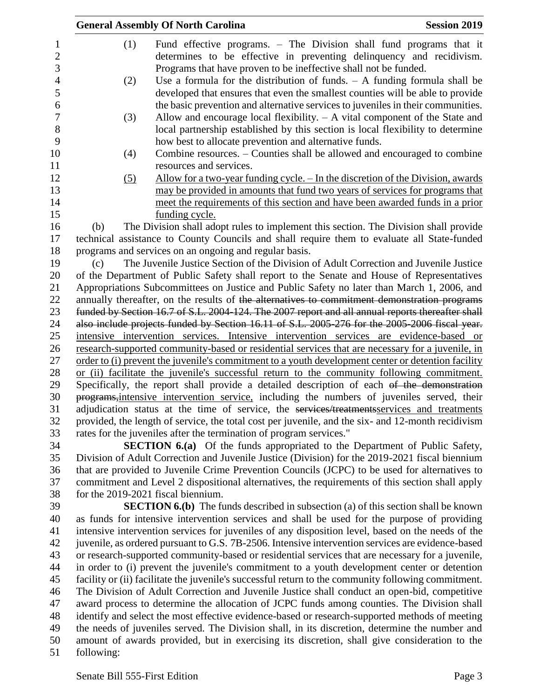|                          |            | <b>General Assembly Of North Carolina</b>                                                                                                                                                                                                                                | <b>Session 2019</b> |
|--------------------------|------------|--------------------------------------------------------------------------------------------------------------------------------------------------------------------------------------------------------------------------------------------------------------------------|---------------------|
| 1<br>$\sqrt{2}$<br>3     | (1)        | Fund effective programs. – The Division shall fund programs that it<br>determines to be effective in preventing delinquency and recidivism.<br>Programs that have proven to be ineffective shall not be funded.                                                          |                     |
| $\overline{4}$<br>5<br>6 | (2)        | Use a formula for the distribution of funds. $- A$ funding formula shall be<br>developed that ensures that even the smallest counties will be able to provide<br>the basic prevention and alternative services to juveniles in their communities.                        |                     |
| $\tau$<br>8<br>9         | (3)        | Allow and encourage local flexibility. $- A$ vital component of the State and<br>local partnership established by this section is local flexibility to determine<br>how best to allocate prevention and alternative funds.                                               |                     |
| 10<br>11                 | (4)        | Combine resources. – Counties shall be allowed and encouraged to combine<br>resources and services.                                                                                                                                                                      |                     |
| 12<br>13<br>14<br>15     | (5)        | <u>Allow for a two-year funding cycle. – In the discretion of the Division, awards</u><br>may be provided in amounts that fund two years of services for programs that<br>meet the requirements of this section and have been awarded funds in a prior<br>funding cycle. |                     |
| 16                       | (b)        | The Division shall adopt rules to implement this section. The Division shall provide                                                                                                                                                                                     |                     |
| 17                       |            | technical assistance to County Councils and shall require them to evaluate all State-funded                                                                                                                                                                              |                     |
| 18                       |            | programs and services on an ongoing and regular basis.                                                                                                                                                                                                                   |                     |
| 19                       | (c)        | The Juvenile Justice Section of the Division of Adult Correction and Juvenile Justice                                                                                                                                                                                    |                     |
| 20                       |            | of the Department of Public Safety shall report to the Senate and House of Representatives                                                                                                                                                                               |                     |
| 21                       |            | Appropriations Subcommittees on Justice and Public Safety no later than March 1, 2006, and                                                                                                                                                                               |                     |
| 22                       |            | annually thereafter, on the results of the alternatives to commitment demonstration programs                                                                                                                                                                             |                     |
| 23                       |            | funded by Section 16.7 of S.L. 2004-124. The 2007 report and all annual reports thereafter shall                                                                                                                                                                         |                     |
| 24                       |            | also include projects funded by Section 16.11 of S.L. 2005-276 for the 2005-2006 fiscal year.                                                                                                                                                                            |                     |
| 25                       |            | intensive intervention services. Intensive intervention services are evidence-based or                                                                                                                                                                                   |                     |
| 26                       |            | research-supported community-based or residential services that are necessary for a juvenile, in                                                                                                                                                                         |                     |
| 27<br>28                 |            | order to (i) prevent the juvenile's commitment to a youth development center or detention facility<br>or (ii) facilitate the juvenile's successful return to the community following commitment.                                                                         |                     |
| 29                       |            | Specifically, the report shall provide a detailed description of each of the demonstration                                                                                                                                                                               |                     |
| 30                       |            | programs, intensive intervention service, including the numbers of juveniles served, their                                                                                                                                                                               |                     |
| 31<br>32                 |            | adjudication status at the time of service, the services/treatments services and treatments<br>provided, the length of service, the total cost per juvenile, and the six- and 12-month recidivism                                                                        |                     |
| 33                       |            | rates for the juveniles after the termination of program services."                                                                                                                                                                                                      |                     |
| 34                       |            | SECTION 6.(a) Of the funds appropriated to the Department of Public Safety,                                                                                                                                                                                              |                     |
| 35                       |            | Division of Adult Correction and Juvenile Justice (Division) for the 2019-2021 fiscal biennium                                                                                                                                                                           |                     |
| 36<br>37<br>38           |            | that are provided to Juvenile Crime Prevention Councils (JCPC) to be used for alternatives to<br>commitment and Level 2 dispositional alternatives, the requirements of this section shall apply<br>for the 2019-2021 fiscal biennium.                                   |                     |
| 39                       |            | <b>SECTION 6.(b)</b> The funds described in subsection (a) of this section shall be known                                                                                                                                                                                |                     |
| 40                       |            | as funds for intensive intervention services and shall be used for the purpose of providing                                                                                                                                                                              |                     |
| 41                       |            | intensive intervention services for juveniles of any disposition level, based on the needs of the                                                                                                                                                                        |                     |
| 42                       |            | juvenile, as ordered pursuant to G.S. 7B-2506. Intensive intervention services are evidence-based                                                                                                                                                                        |                     |
| 43                       |            | or research-supported community-based or residential services that are necessary for a juvenile,                                                                                                                                                                         |                     |
| 44                       |            | in order to (i) prevent the juvenile's commitment to a youth development center or detention                                                                                                                                                                             |                     |
| 45                       |            | facility or (ii) facilitate the juvenile's successful return to the community following commitment.                                                                                                                                                                      |                     |
| 46                       |            | The Division of Adult Correction and Juvenile Justice shall conduct an open-bid, competitive                                                                                                                                                                             |                     |
| 47                       |            | award process to determine the allocation of JCPC funds among counties. The Division shall                                                                                                                                                                               |                     |
| 48                       |            | identify and select the most effective evidence-based or research-supported methods of meeting                                                                                                                                                                           |                     |
| 49                       |            | the needs of juveniles served. The Division shall, in its discretion, determine the number and                                                                                                                                                                           |                     |
| 50<br>51                 | following: | amount of awards provided, but in exercising its discretion, shall give consideration to the                                                                                                                                                                             |                     |
|                          |            |                                                                                                                                                                                                                                                                          |                     |